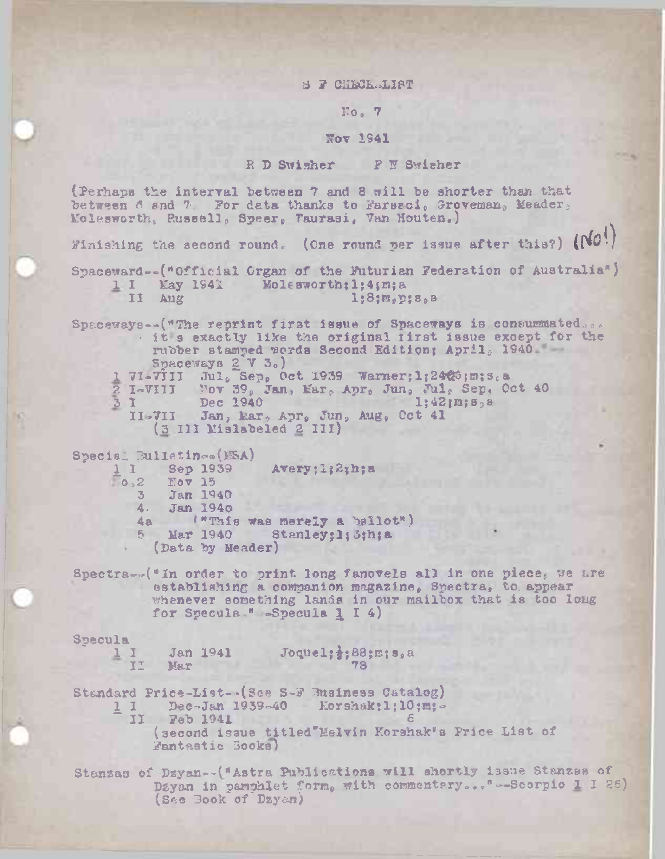## 8 F CHECK-LIST

## $\text{No. } 7$

## Kov 1941

R D Swisher F N Swieher

(Perhaps the interval between 7 and <sup>3</sup> will be shorter than that between 6 and 7. For data thanks to Farseci, Groveman, Meader, Kolesworth? Russellp Speer? Taurasi, Van Houten.)

Finishing the second round. (One round per issue after this?)  $(N0!)$ 

Spaceward—("Official Organ of the Futurian Federation of Australia"} 1 I May 1941 Molesworth; 1; 4; m; a  $\frac{1}{3}$  aug  $\frac{1}{3}$   $\frac{1}{3}$ ; $\frac{1}{3}$ ; $\frac{1}{3}$ ; $\frac{1}{3}$ ; $\frac{1}{3}$ ; $\frac{1}{3}$ ; $\frac{1}{3}$ 

Spaceways--("The reprint first issue of Spaceways is consummated...<br>It s exactly like the original first issue except for the rubber stamped words Second Edition; April<sub>a</sub> 1940 Spaceways  $2V_3$ ) 1 71-7111 Jul. Sep. Oct 1939 Warner; l;2423;m; s.a  $2$  I-VIII Fov 39, Jan, Mar, Apr, Jun, Jul, Sep, Oct 40  $3 \t1 \t\t Dec 1940 \t\t 1;42;\t m;8<sub>3</sub>$  $\frac{1}{2}$  I=VIII Yov 39, Jan, Kar, Apr, Jun, Jul, Sep,  $\frac{1}{4}$ <br>3 I Dec 1940<br>II-7II Jan, kar, Apr, Jun, Aug, Oct 41 (3 III Mislabeled <sup>2</sup> III)

Special Bulletin®»(HSA)  $\frac{1}{\alpha}$  I Sep 1939 Avery;l;2;h;a 2 Nov 15<br>3 Jan 19 3 Jan 1940 4, Jan 194o 4a ("This was merely a ballot") 5 Mar 1940 Stanley;1;3;h;a • (Data by Header)

Spectra--<sup>(\*</sup>In order to print long fanovels all in one piece, we are establishing a companion magazine, Spectra, to appear whenever something lands in our mailbox that is too long for Specula." -Specula 1 I 4)

Specula

1 Jan 1941 Joquel; *i*; 88; m; s, a<br>II Mar 78 Mar 73

Standard Price-List--(See S-F Business Catalog)

- 1 I Dec-Jan 1939-40 Eorshak:1;10;m;-
- $-$  II Feb 1941  $-$  1.01 Show, 1, 10 (second issue titled\*Melvin Korshak's Price List of Fantastic Books)

Stanzas of Dzyan--("Astra Publications will shortly issue Stanzas of Dzyan in pamphlet form, with commentary..."--Scorpio I I 26) (See Book of Dzyan)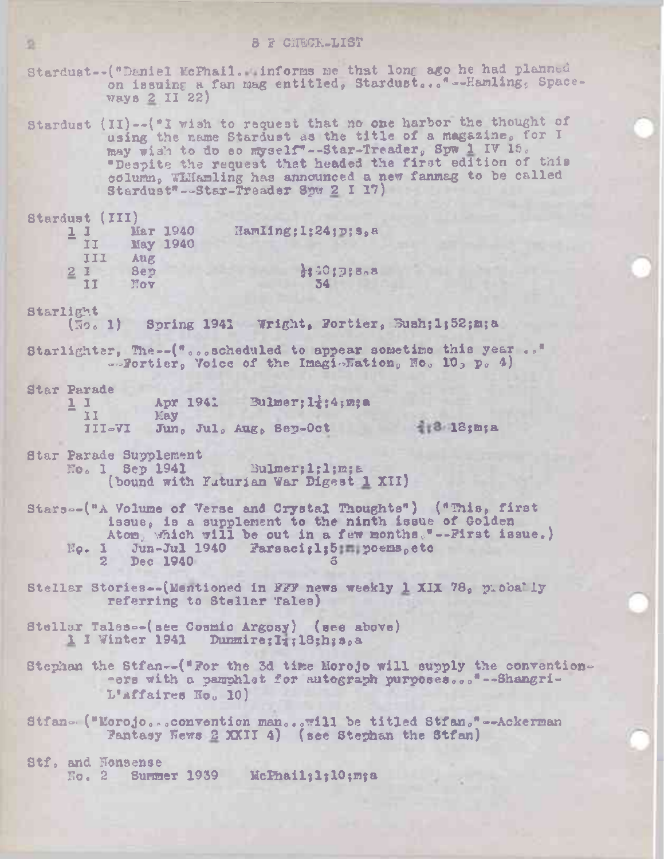Stardust--("Daniel McFhail. informs me that long ago he had planned on issuing a fan mag entitled, Stardust..."--Hamling, Space- $W$ ays 2 II 22)

Stardust (II)--("I wish to request that no one harbor the thought of using the name Stardust as the title of a magazine, for I may wish to do so myself"--Star-Treader, Spw 1 IV 16. "Despite the request that headed the first edition of this column, Williamling has announced a new fanmag to be called Stardust"-Star-Treader 8pw 2 I 17)

Starduat (III)

|   | Маг 1940<br><b>May 1940</b> | Hamling; 1:24; D; s, a |
|---|-----------------------------|------------------------|
| ш | Aug.<br>Sep                 | 33.40173808            |
|   | Nov                         |                        |

Starlight

(No. 1) Spring 1941 Wright, Fortier, Bush; 1; 52; m; a

Starlighter, The -- ("...scheduled to appear sometime this year .." -Bortier, Voice of the ImaginFation, No. 10, p. 4)

**Star Parade** 

 $11$ Apr 1941 Bulmer: It: 4; m; a  $II$ May III-VI Jun, Jul, Aug, Sep-Oct

 $\frac{3}{21}$ 3.18; m; a

Star Parade Supplement Bulmer; l; l; m; a No. 1 Sep 1941 (bound with Yuturian War Digest 1 XII)

Stars--("A Volume of Verse and Crystal Thoughts") ("This, first issue, is a supplement to the ninth issue of Golden Atom, which will be out in a few months."--First issue.) No. 1 Jun-Jul 1940 Farsaci; 1; 5 poems, etc 2 Dec 1940

Stellar Stories--(Mentioned in FFF news weekly 1 XIX 78, piccally referring to Stellar Tales)

Stellar Tales--(see Cosmic Argosy) (see above) 1 I Winter 1941 Dunmire; I; ; 18; h; s, a

Stephan the Stfan--("For the 3d time Morojo will supply the conventioners with a pamphlet for autograph purposes... \*--Shangri-L'affaires Ho. 10)

Stfan- ("Morojo...convention man...will be titled Stfan."--Ackerman Pantasy News 2 XXII 4) (see Stephan the Stfan)

Stf. and Nonsense No. 2 Summer 1939 McPhail; 1; 10; m; a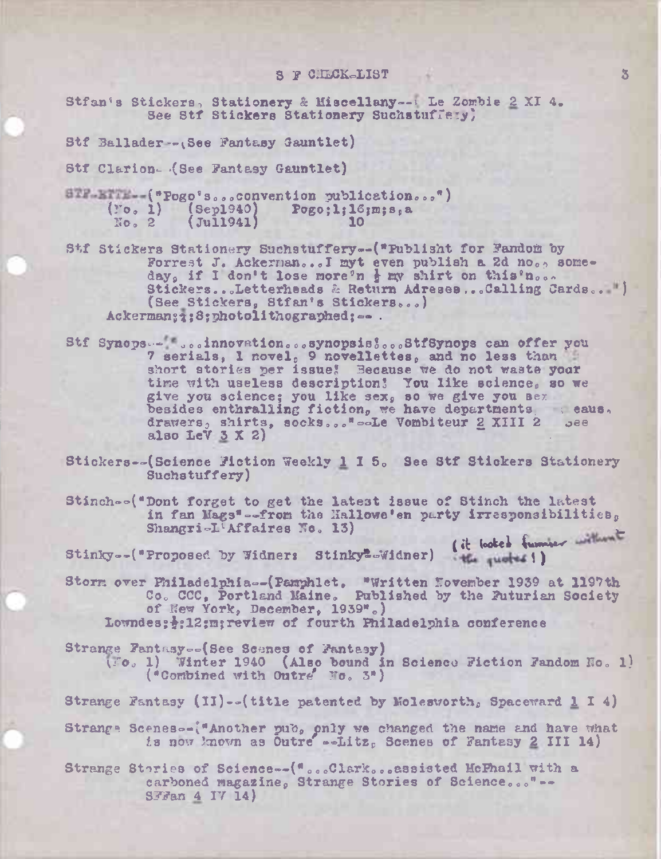## S F CHECK-LIST

Stfan's Stickers, Stationery & Miscellany--: Le Zombie 2 XI 4. See Stf Stickers Stationery Suchstuffery,

Stf Ballader--(See Fantasy Gauntlet)

Stf Clarion- (See Fantasy Gauntlet)

STF-BITE -- ("Pogo's...convention publication...")  $('o, 1)$  (Sep1940) Pogo:1:16;m:s.a  $(i)$   $(i)$  $No. 2$ 

Stf Stickers Stationery Suchstuffery--("Publisht for Fandom by Forrest J. Ackerman... I myt even publish a 2d no., someday, if I don't lose more'n } my shirt on this'n... Stickers...Letterheads & Return Adreses...Calling Cards.. ") (See Stickers, Stfan's Stickers...) Ackerman: 1:8: photolithographed: -- .

Stf Synops... ...innovation...synopsis!...StfSynops can offer you 7 serials, I novel, 9 novellettes, and no less than short stories per issue! Because we do not waste your time with useless description! You like science, so we give you science; you like sex, so we give you sex besides enthralling fiction, we have departments asses. drawers, shirts, socks..." -- Le Vombiteur 2 XIII 2 ... also LeV 3 X 2)

Stickers--(Science Fiction Weekly 1 I 5. See Stf Stickers Stationery Suchatuffery)

Stinch--("Dont forget to get the latest issue of Stinch the latest in fan Mags"--from the Hallowe'en party irresponsibilities, Shangri-L'Affaires No. 13) ( it looked funnier without

Stinky--("Proposed by Widners Stinky"-Widner) the quote ! )

Storm over Philadelphia--(Pamphlet. "Written November 1939 at 1197th<br>Co. CCC, Portland Maine. Published by the Futurian Society of New York, December, 1939".) Lowndes: +: 12: mareview of fourth Philadelphia conference

Strange Fantasy--(See Scenes of Fantasy)  $(0.6, 1)$  Winter 1940 (Also bound in Science Fiction Fandom No. 1) ("Combined with Outre' No. 3")

Strange Fantasy (II)--(title patented by Molesworth, Spaceward 1 I 4)

Strange Scenes -- ("Another pub, only we changed the name and have what is now known as Outre' -- Litz. Scenes of Fantasy 2 III 14)

Strange Stories of Science--("...Clark...assisted HcFhail with a carboned magazine, Strange Stories of Science..."--SFFan 4 IV 14)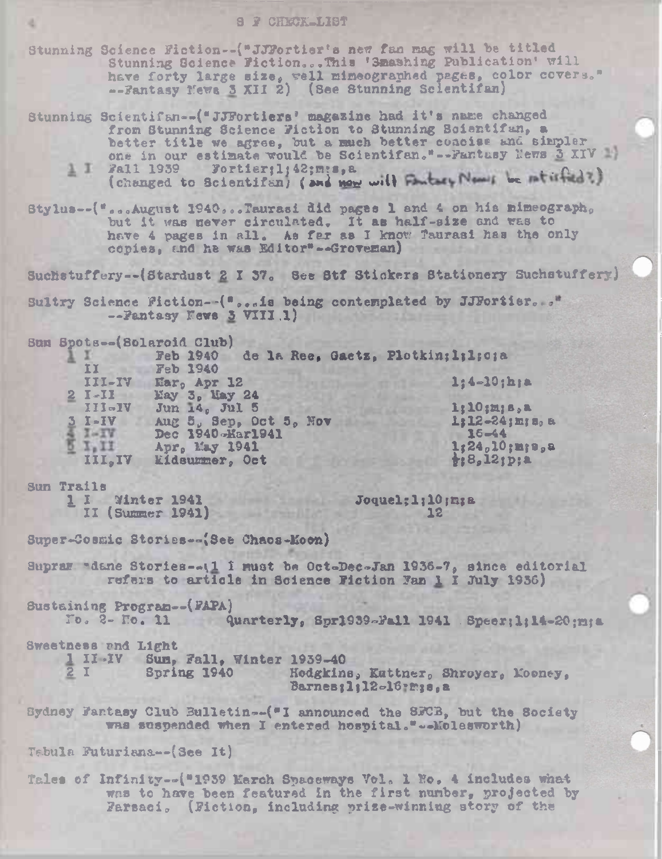Stunning Science Fiction--("JJFortier's new fan mag will be titled Stunning Science Fiction...This '3mashing Publication' will have forty large size, well mimeographed pages, color covers." -- Fantasy News 3 XII 2) (See Stunning Scientifan)

- Stunning Scientifan--("JJFortiers' magazine had it's name changed from Stunning Science Fiction to Stunning Scientifun, a better title we agree, but a much better coacise and simpler<br>one in our estimate would be Scientifan."--Fantasy News 3 XIV
	- 1 I Fall 1939 Fortier:1:42:m:s, a (changed to Scientifsn) (and now will Factory News be ntirfied?)
- Stylus--("...August 1940...Taurasi did pages 1 and 4 on his mimeograph. but it was never circulated. It as half-size and was to have 4 pages in all. As fer as I know Taurasi has the only copies, and he was Editor"--Groveman)

Suchstuffery--(Stardust 2 I 37. See Stf Stickers Stationery Suchstuffery)

Sultry Science Fiction--("...is being contemplated by JJFortier..." -- Fantasy News 3 VIII.1)

Sun Spots--(Solaroid Club)

| II          | <b>Feb 1940</b><br>de la Ree, Gaetz, Plotkin; l; l; c; a<br><b>Feb 1940</b> |                             |
|-------------|-----------------------------------------------------------------------------|-----------------------------|
| III-IV      | $Earo$ Apr 12                                                               | $1:4 - 10; h;$ a            |
| $2 I - II$  | <b>May 3. May 24</b>                                                        |                             |
| $III - IV$  | Jun 14. Jul 5                                                               | $1;10;$ m; s, a             |
| $5I-IV$     | Aug $5v$ Sep, Oct $5v$ Nov                                                  | $1:12 - 24$ imis            |
| <b>IMIV</b> | Dec 1940-Mar1941                                                            | $16 - 44$                   |
| VI.II       | Apr. May 1941                                                               | $1:24,10:$ m                |
| III, IV     | <b>Eidsummer, Oct</b>                                                       | $\frac{1}{2}$ ; 8, 12; p; a |

Sun Trails

1 I Winter 1941 II (Summer 1941)

Joquel:1:10;m;a  $12<sup>°</sup>$ 

n Bu

 $B<sub>0</sub>$ 

Super-Cosmic Stories--(See Chaos-Moon)

Supraw "dane Stories--\1 I must be Oct-Dec-Jan 1936-7, since editorial refers to article in Science Fiction Fan 1 I July 1936)

**Sustaining Program--(FAPA)** 

No. 2- No. 11 Quarterly, Spr1939-Fail 1941 Speer; 1:14-20:m:a

Sweetness and Light

1 II-IV Sum, Fall, Winter 1939-40  $2I$ Spring 1940 Hodgkins, Kuttner, Shroyer, Mooney,

Barnes;1;12-16;mis.a

Bydney Fantasy Club Bulletin--("I announced the SFCB, but the Society was suspended when I entered hospital." --Molesworth)

Tabula Futuriana--(See It)

Tales of Infinity--("1959 March Spaceways Vol. 1 No. 4 includes what was to have been featured in the first number, projected by Farsaci, (Fiction, including prize-winning story of the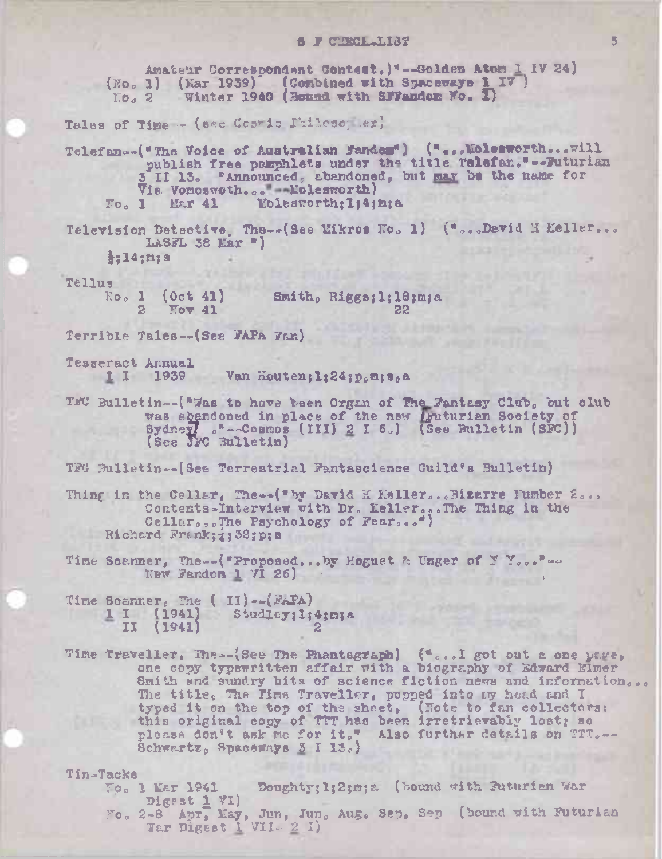# S F CHRCL.LIST

Amateur Correspondent Contest. | "--Golden Atom 1 IV 24] (Eo. 1) (Ear 1939) (Combined with Spaceways 1 IV) Winter 1940 (Bound with SFFandom Wo. I)  $\overline{\text{LO}}_c$  2

Tales of Time - (see Costic Fhileso er)

Telefan--("The Voice of Australian Fander") ("...Wolesworth... will publish free parphlets under the title Telefan."--Futurian 3 II 13. "Announced, abandoned, but may be the name for Vis Vomoswoth... Nolesworth)  $T_0$ , 1 Mar 41 Molesworth; I:4; m; a

Television Detective, The--(See Mikros No. 1) ("...Devid H Keller... LASFL 38 Mar  $"$ 

 $\frac{1}{2}$ :14;m; s

**Tellus** 

 $(0ct 41)$  $Ko<sub>o</sub>$  1 Smith, Riggs; l: 18; m; a  $2^{\circ}$  $Nov$  41 22

Terrible Tales--(See FAPA Fan)

Tesseract Annual 1 I 1939 Van Houten; 1; 24; p.m; s.e.

TFC Bulletin--("Was to have been Organ of The Fantasy Club, out club was abandoned in place of the new *igniturian* Society of Sydney, "--Cosmos (III) 2 I 6.) (See Bulletin (SFC))

TFG Bulletin--(See Terrestrial Fantascience Guild's Bulletin)

Thing in the Cellar, The--("by David H Keller...Bizarre lumber 2... Contents-Interview with Dr. Keller...The Thing in the Cellar...The Psychology of Fear...") Richard Frank; 333; p; s

Time Scanner, The -- ("Proposed...by Hoguet & Unger of Y You.""" New Fandom  $1$   $71$  26)

Time Scanner, The (II)--(FAPA)  $1 I (1941)$  Studley;  $1;4; m; s$  $11$  $(1941)$ 

Time Traveller, The--{See The Phantagraph}  $\{\bullet\text{...}1$  got out a one page, one copy typewritten affair with a biography of Edward Elmer Smith and sundry bits of science fiction news and information... The title, The Time Traveller, popped into my head and I typed it on the top of the sheet. (Note to fan collectors: this original copy of TTT has been irretrievably lost; so<br>please don't ask me for it," Also further details on TT.... Schwartz, Spaceways  $3$  I  $15.$ 

Tin-Tacke

- Fo. 1 Mar 1941 Doughty; 1; 2; m; a (bound with Futurian War Digest 1 VI)
- No. 2-8 Apr, May, Jun, Jun, Aug, Sep, Sep (bound with Futurian War Digest 1 VII 2 1)

5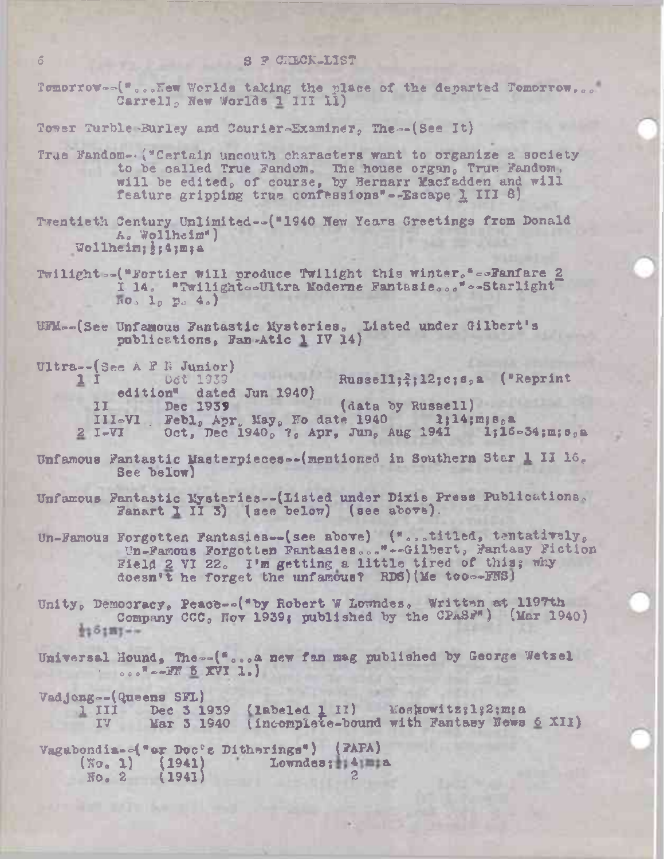Tomorrow...("...Kew Worlds taking the place of the departed Tomorrow... Carrell, New Worlds 1 III 11)

Tower Turble-Burley and Courier-Examiner, The--(See It)

- True Fandom- ("Certain uncouth characters want to organize a society to be called True Fandom. The house organ, True Fandom, will be edited, of course, by Bernarr Macfadden and will feature gripping true confessions"--Escape 1 III 8)
- Twentieth Century Unlimited--("1940 New Years Greetings from Donald A. Wollheim") Wollheim; j: 4; m; a
- Twilight -- ("Fortier will produce Twilight this winter." --Fanfare 2 I 14. "Twilight -Ultra Moderne Fantasie..." -- Starlight  $\log_2$   $\log_2$   $\frac{4}{9}$
- UFM -- (See Unfamous Fantastic Mysteries. Listed under Gilbert's publications. Fan-Atic 1 IV 14)
- Ultra--(See A F R Junior) Oct 1939 Russell; ?; 12; c; s, a ("Reprint  $11$ edition" dated Jun 1940)<br>I Dec 1939 (data by Russell)  $11$ III-VI Febl. Apr May, No date 1940 1;14;m;s,a<br>I-VI Oct, Dec 1940, 7, Apr, Jun, Aug 1941 1;16-34;m;s,a  $2 I-VI$
- Unfamous Fantastic Masterpieces--(mentioned in Southern Star 1 II 16. See below)
- Unfamous Fantastic Mysteries--(Listed under Dixie Press Publications. Fanart I II  $5$ ) (see below) (see above).
- Un-Famous Forgotten Fantasies--(see above) ("...titled, tentatively,<br>Un-Famous Forgotten Fantasies..."--Gilbert, Fantasy Fiction Field 2 VI 22. I'm getting a little tired of this; why doesn't he forget the unfamous? RDS) (Me too--FNS)
- Unity, Democracy, Peace--("by Robert W Lowndes, Written at 1197th Company CCC, Nov 1939; published by the CPASF") (Mar 1940)  $125187 - -$
- Universal Hound, The--("...a new fan mag published by George Wetzel  $\sim$   $\sim$   $\sim$   $\frac{1}{2}$   $\frac{1}{2}$   $\frac{1}{2}$
- Vadjong--(Queens SFL) 1 III Dec 3 1939 (1abeled 1 II) Moskowitz; 1; 2; m; a IV Mar 3 1940 (incomplete-bound with Fantasy News 6 XII)
- Vagabondia--("er Doc's Ditherings") (FAPA)  $(No, 1)$  (1941) Lowndes: 4 a  $F_0$ , 2 (1941)

 $\sigma$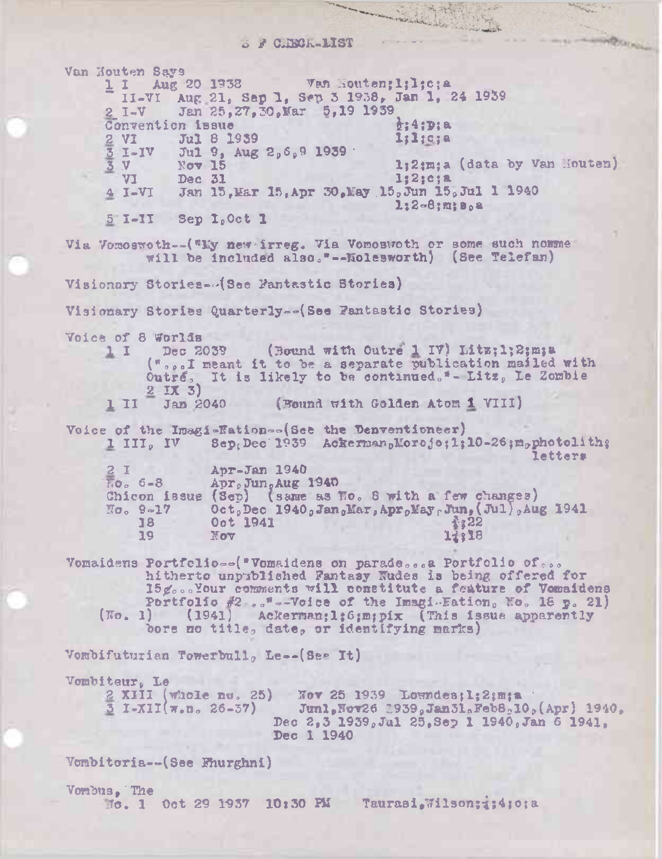$5$  / CIBCK-1IST

**THRACHOLD** 

Van Houten Says  $1$  I Aug 20 1938 Van Houten;l;l;c;a II-VI Aug 21, Sep 1, Sep 3 1938, Jan 1, 24 1939<br>I-V Jan 25.27.30. Mar 5.19 1939 Jan 25,27,30, Mar 5,19 1939  $\frac{1}{2}$  Convention issue<br>  $\frac{1}{2}$  VI Jul 8 1939<br>  $\frac{1}{2}$  Jul 8 1939  $2 \text{ VI}$  Jul 8 1939 liligja  $3 I-IV$  Jul 9, Aug 2, 6, 9 1939  $\frac{3}{3}$  I-IV Jul 9, Aug 2, 6, 9 1939<br> $\frac{3}{3}$  V Nov 15<br>V1 Dec 31<br> $\frac{31}{12}$ ; e; a  $V1$  Dec 31  $1,2;c;$ a 4 I-VI Jan 15, Mar 15, Apr 30, May 15, Jun 15, Jul 1 1940 l:2-8;m;s,a <sup>5</sup> I-II Sep l,0ct <sup>1</sup> Via Vomoswoth--("Ky new irreg. Via Vomoswoth or some such nomme will be included also."--Kolesworth) (See Telefan) Visionary Stories-Asee Fantastic Stories) Visionary Stories Quarterly==(See Fantastic Stories) Voice of 8 Worlds<br>1 I Dec 2039 (Bound with Outre' 1 IV) Litz;1;2;m;a ("sol meant it to be a separate publication mailed with Outré, It is likely to be continued."- Litz, Le Zombie 2 *IX* 3) <sup>1</sup> II Jan <sup>2040</sup> (Bound with Golden Atom <sup>1</sup> VIII) Voice of the Imagi-Eation--(See the Denventioneer)<br>1 III. IV Sep. Dec 1939 Ackerman. Morofo:1:  $1939$  Ackerman, Morojo:1:10-26:m, photolith; letters 2 I Apr-Jan 1940<br>20. 6-8 Apr.Jun.Aug Apr, Jun, Aug 1940 Chicon issue (Sep) (same as No. 8 with a few changes)<br>No. 9-17 Oct. Dec 1940. Jan. Mar. Apr. Hay. Jun. (Jul). Au No. 9-17 Oct, Dec 1940, Jan, Mar, Apr, May, Jun, (Jul), Aug 1941 18 Oct 1941 **18** 19 Nov 1:318 Vomaidens Portfolio $\sim$ ("Vomaidens on parade...a Portfolio of... hitherto unpublished Fantasy Rudes is being offered for 15g...Your comments will constitute a feature of Vomaidens Portfolio  $#2 -$ ,  $* = -V$ oice of the Imagi-Fation, No. 18 p. 21)  $(No, 1)$  (1941) Ackerman; 1: 6;m;pix (This issue apparently bore no title, date, or identifying marks) Vombifuturian Towerbull, Le--(See It) Vombiteur, Le / 2 XIII (whole nu. 25) Nov 25 1939 Loundes; 1; 2; m; a<br>3 1-XII( $\pi$ , n. 26-37) Junl, Nov26 1939, Jan31, Feb8, 10 Junl, Nov26 2939, Jan31. Feb8,10,  $(\text{Apr})$  1940, Dec 2,3 1939, Jul 25, Sep 1 1940, Jan 6 1941. Dec 1 1940 Vombitoria—(See Fhurghni) Vorabus,\*The  $J_0$ . 1 Oct 29 1937 10:30 PM Taurasi. Wilson;;:4;0;a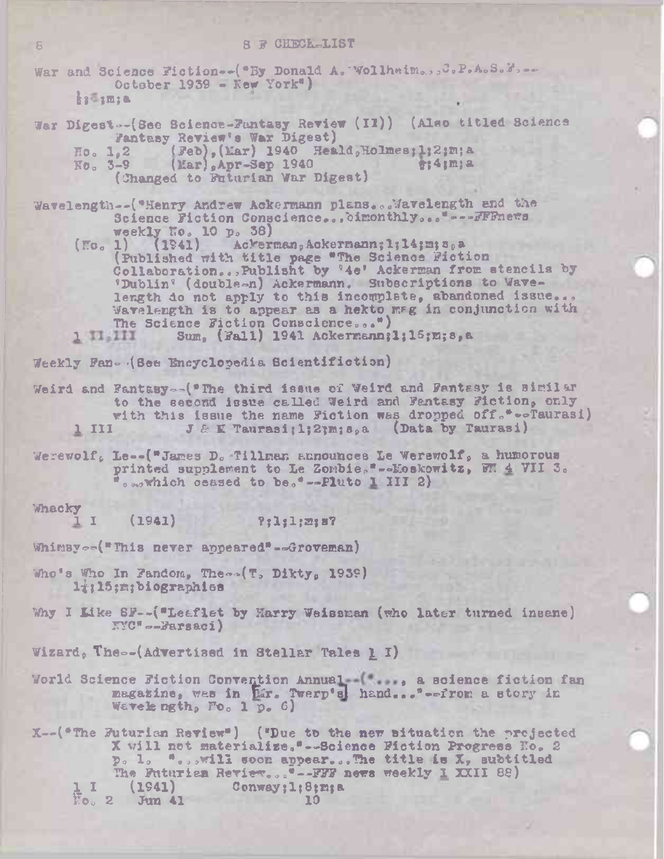War and Science Fiction--("By Donald A. Wollheim...J. P.A.S. M. --October 1939 -  $Kew York$ ") samsa.

War Digest--(See Science-Fantasy Review (II)) (Also titled Science Fantasy Review's War Digest) Ho. 1,2 (Feb), (Mar) 1940 Heald, Holmes; 1; 2; m; a<br>No. 3-9 (Mar), Apr-Sep 1940 f: 4; m; a

(Changed to Futurian War Digest)

Wavelength--("Henry Andrew Ackermann plans...Wavelength and the Science Fiction Conscience... oimonthly... "---FFFnews weekly Ho. 10 p. 38)

Ackerman, Ackermann; 1; 14; m; s, a  $(T\sigma_o 1)$  $(1941)$ (Published with title page "The Science Fiction<br>Collaboration...Publisht by '4e' Ackerman from stencils by 'Dublin' (double-n) Ackermann. Subscriptions to Wavelength do not apply to this incomplete, abandoned issue... Wavelength is to appear as a hekto mag in conjunction with The Science Fiction Conscience...") Sum, (Fall) 1941 Ackermann; 1; 15; m; 8, a

1 11, 111

Weekly Fan- (See Encyclopedia Scientifiction)

Weird and Fantasy--("The third issue of Weird and Fantasy is similar to the second issue called Weird and Fantasy Fiction, only with this issue the name Fiction was dropped off."--Taurasi) J & E Taurasi: 1: 2: m: 8. a (Data by Taurasi) <u>1 III</u>

Werewolf, Le--("James D. Tillman announces Le Werewolf, a humorous printed supplement to Le Zombie."--Moskowitz, WH 4 VII 3. o mowhich ceased to be."--Pluto 1 III 2)

Whacky

 $1 I$  $(1941)$  $?:1:1:2:87$ 

Whimsy<sub>oo</sub>("This never appeared"--Groveman)

- Who's Who In Fandom, The (T, Dikty, 1939) liil5:m:biographies
- Why I Like SF--("Leaflet by Harry Weissman (who later turned insane)  $\mathbb{N}^{\nu}C^{n} \rightarrow -P_{\text{BPSAC}}i$ )

Wizard, The--(Advertised in Stellar Tales 1 I)

World Science Fiction Convention Annual-("..., a science fiction fan magazine, was in har. Twerp's hand... "--from a story in Wavelength, Fo. 1 p. 6)

X--(\*The Futurian Review\*) (\*Due to the new situation the projected X will not materialize."-Science Fiction Progress No. 2 p. 1. "...will soon appear...The title is X, subtitled The Futurian Reviev... "--FFF news weekly I XXII 88) Conway; 1; 8; m; a  $(1941)$  $\overline{\mathbb{F}}$ o. 2 Jun 41 10

S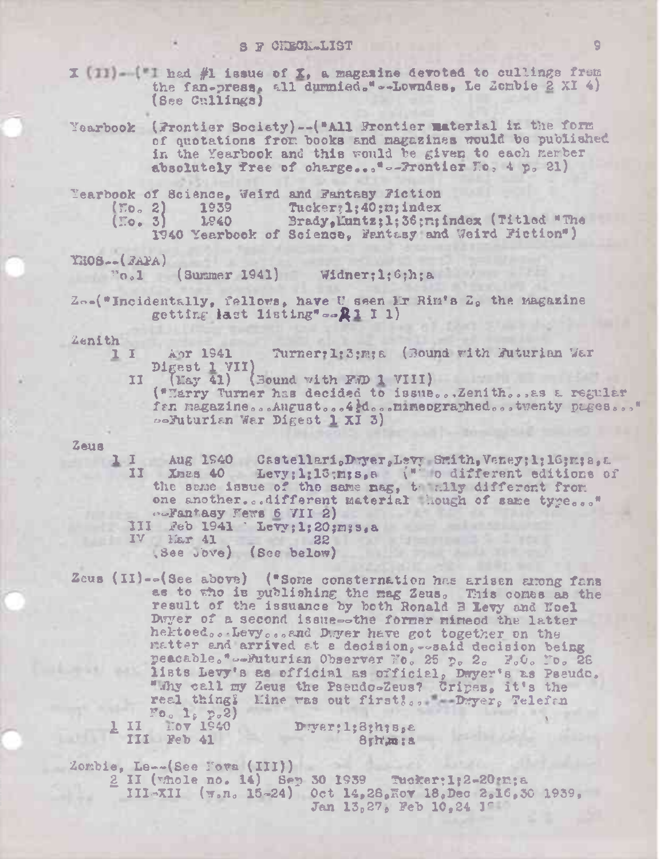I [II]-["I had #1 issue of X, a magazine devoted to cullings frem the fan-press, all durmied."--Lowndes, Le Zombie 2 XI 4) (See Cullings)

Yearbook (Frontier Society)--("All Frontier material in the form of quotations from books and magazines would be published in the Yearbook and this would be given to each kember absolutely free of charge..."-Brontier Mo, 4 p. 21)

|             |      | <b>Mearbook of Science, Weird and Fantasy Fiction</b> |
|-------------|------|-------------------------------------------------------|
| (50, 2)     | 1939 | Tucker: 1:40; m; index                                |
| $(II_0, 3)$ | 1840 | Brady, Muntz; 1: 36; n; index (Titled "The            |
|             |      | 1940 Yearbook of Science, Fantasy and Weird Fiction") |

YHOS-- (FAPA)

 $v_{0,1}$  (Summer 1941) Widner: 1; 6; h; a

Zo-("Incidentally, fellows, have U seen Mr Rim's Z, the magazine getting last listing"  $\sim 2$  1 1)

Zenith

ıι Apr 1941 Turner: 1:3;m; a (Bound with Buturian War Digest 1 VII)

 $(Xay 41)$  (Bound with F.D 1 VIII) IJ

("Marry Turner has decided to issue...Zenith... as a regular fan magazine...August...4d...mineographed...twenty pages..." seFuturian War Digest 1 XI 3)

#### $\mathbf{Z}$ eus

1 I Aug 1940 Castellari, Dwer, Levy Smith, Vaney; 1; 16; m; a, a  $II$ Xmas 40 Levy; 1; 13; m; s, a  $\mathcal{N}^*$  o different editions of the same issue of the same mag, the ally different from one another...different material hough of same type..." .Dentasy Fews 6 VII 2)

- III  $\Re$ eb 1941 'Levy;1;20;m;s,a IV Mar 41 22
	- (See Jove) (See below)

Zeus (II)--(See above) ("Some consternation has arisen arong fans as to the is publishing the mag Zeus. This comes as the result of the issuance by both Ronald B Levy and Hoel Dwyer of a second issue--the former mineod the latter hektoed...Levy...and Dwer have got together on the matter and arrived at a decision, -osaid decision being peacable."--Futurian Observer Fo. 25 p. 2. F.O. Fo. 26 lists Levy's as official as official, Dwyer's as Pseudo. "Mhy call my Zeus the Pseudo-Zeus? Cripes, it's the real thing? Mine was out first?.. Dwyer, Telefan  $\frac{F_0 - 1}{F_0 - 1540}$ 

TT.  $III$  Feb  $41$ 

Dwer; l; 8; h; s, e 8th'm:a

Zombie, Le--(See Fova (III))

2 II (whole no. 14) Sep 30 1939 Tucker: 1:2-20:n; a III-XII  $(\pi \cdot n \cdot 15 - 24)$  Oct 14,28, Nov 18, Dec 2,16, 30 1939, Jan 13,27, Feb 10,24 1